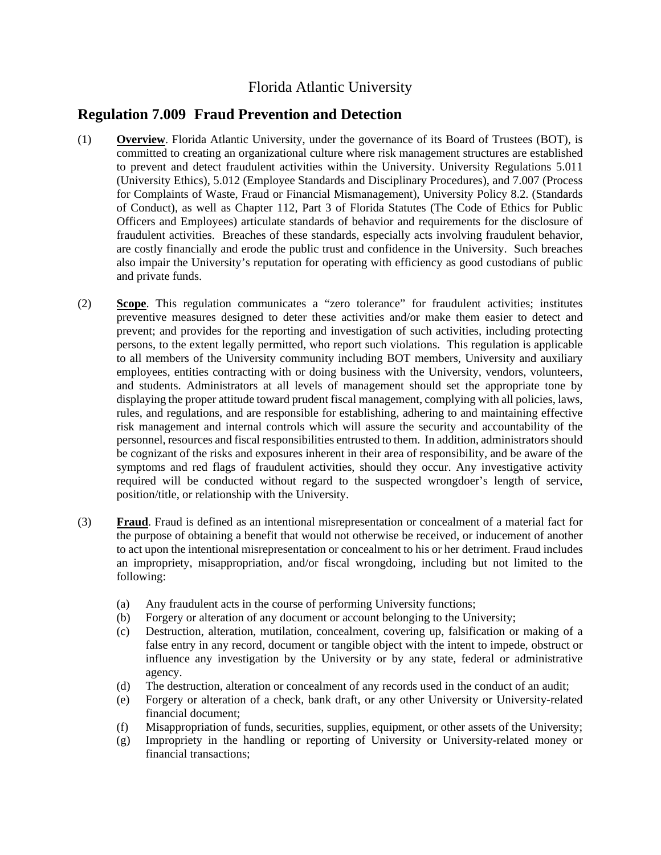## Florida Atlantic University

## **Regulation 7.009 Fraud Prevention and Detection**

- (1) **Overview**. Florida Atlantic University, under the governance of its Board of Trustees (BOT), is committed to creating an organizational culture where risk management structures are established to prevent and detect fraudulent activities within the University. University Regulations 5.011 (University Ethics), 5.012 (Employee Standards and Disciplinary Procedures), and 7.007 (Process for Complaints of Waste, Fraud or Financial Mismanagement), University Policy 8.2. (Standards of Conduct), as well as Chapter 112, Part 3 of Florida Statutes (The Code of Ethics for Public Officers and Employees) articulate standards of behavior and requirements for the disclosure of fraudulent activities. Breaches of these standards, especially acts involving fraudulent behavior, are costly financially and erode the public trust and confidence in the University. Such breaches also impair the University's reputation for operating with efficiency as good custodians of public and private funds.
- (2) **Scope**. This regulation communicates a "zero tolerance" for fraudulent activities; institutes preventive measures designed to deter these activities and/or make them easier to detect and prevent; and provides for the reporting and investigation of such activities, including protecting persons, to the extent legally permitted, who report such violations. This regulation is applicable to all members of the University community including BOT members, University and auxiliary employees, entities contracting with or doing business with the University, vendors, volunteers, and students. Administrators at all levels of management should set the appropriate tone by displaying the proper attitude toward prudent fiscal management, complying with all policies, laws, rules, and regulations, and are responsible for establishing, adhering to and maintaining effective risk management and internal controls which will assure the security and accountability of the personnel, resources and fiscal responsibilities entrusted to them. In addition, administrators should be cognizant of the risks and exposures inherent in their area of responsibility, and be aware of the symptoms and red flags of fraudulent activities, should they occur. Any investigative activity required will be conducted without regard to the suspected wrongdoer's length of service, position/title, or relationship with the University.
- (3) **Fraud**. Fraud is defined as an intentional misrepresentation or concealment of a material fact for the purpose of obtaining a benefit that would not otherwise be received, or inducement of another to act upon the intentional misrepresentation or concealment to his or her detriment. Fraud includes an impropriety, misappropriation, and/or fiscal wrongdoing, including but not limited to the following:
	- (a) Any fraudulent acts in the course of performing University functions;
	- (b) Forgery or alteration of any document or account belonging to the University;
	- (c) Destruction, alteration, mutilation, concealment, covering up, falsification or making of a false entry in any record, document or tangible object with the intent to impede, obstruct or influence any investigation by the University or by any state, federal or administrative agency.
	- (d) The destruction, alteration or concealment of any records used in the conduct of an audit;
	- (e) Forgery or alteration of a check, bank draft, or any other University or University-related financial document;
	- (f) Misappropriation of funds, securities, supplies, equipment, or other assets of the University;
	- (g) Impropriety in the handling or reporting of University or University-related money or financial transactions;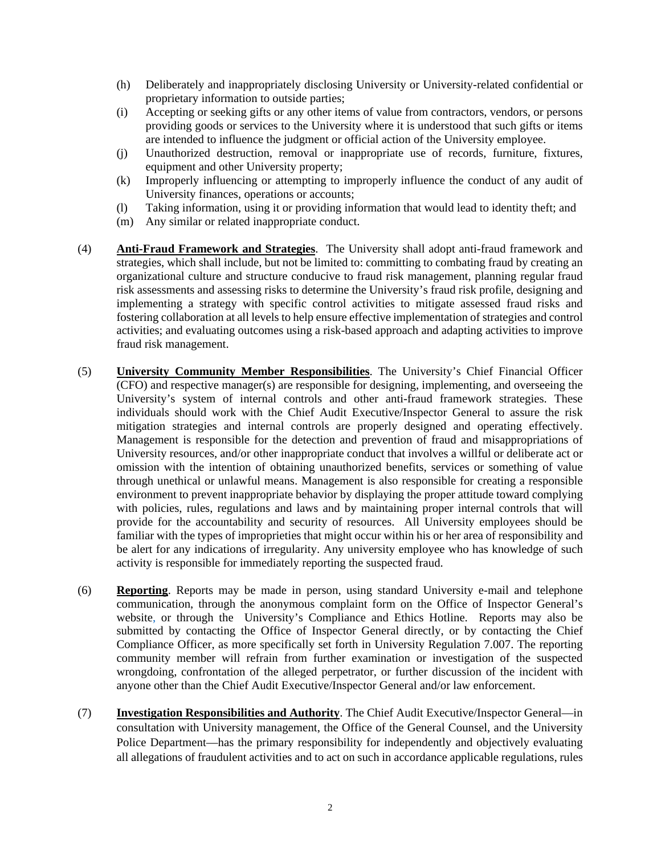- (h) Deliberately and inappropriately disclosing University or University-related confidential or proprietary information to outside parties;
- (i) Accepting or seeking gifts or any other items of value from contractors, vendors, or persons providing goods or services to the University where it is understood that such gifts or items are intended to influence the judgment or official action of the University employee.
- (j) Unauthorized destruction, removal or inappropriate use of records, furniture, fixtures, equipment and other University property;
- (k) Improperly influencing or attempting to improperly influence the conduct of any audit of University finances, operations or accounts;
- (l) Taking information, using it or providing information that would lead to identity theft; and
- (m) Any similar or related inappropriate conduct.
- (4) **Anti-Fraud Framework and Strategies**. The University shall adopt anti-fraud framework and strategies, which shall include, but not be limited to: committing to combating fraud by creating an organizational culture and structure conducive to fraud risk management, planning regular fraud risk assessments and assessing risks to determine the University's fraud risk profile, designing and implementing a strategy with specific control activities to mitigate assessed fraud risks and fostering collaboration at all levels to help ensure effective implementation of strategies and control activities; and evaluating outcomes using a risk-based approach and adapting activities to improve fraud risk management.
- (5) **University Community Member Responsibilities**. The University's Chief Financial Officer (CFO) and respective manager(s) are responsible for designing, implementing, and overseeing the University's system of internal controls and other anti-fraud framework strategies. These individuals should work with the Chief Audit Executive/Inspector General to assure the risk mitigation strategies and internal controls are properly designed and operating effectively. Management is responsible for the detection and prevention of fraud and misappropriations of University resources, and/or other inappropriate conduct that involves a willful or deliberate act or omission with the intention of obtaining unauthorized benefits, services or something of value through unethical or unlawful means. Management is also responsible for creating a responsible environment to prevent inappropriate behavior by displaying the proper attitude toward complying with policies, rules, regulations and laws and by maintaining proper internal controls that will provide for the accountability and security of resources. All University employees should be familiar with the types of improprieties that might occur within his or her area of responsibility and be alert for any indications of irregularity. Any university employee who has knowledge of such activity is responsible for immediately reporting the suspected fraud.
- (6) **Reporting**. Reports may be made in person, using standard University e-mail and telephone communication, through the anonymous complaint form on the Office of Inspector General's website, or through the University's Compliance and Ethics Hotline. Reports may also be submitted by contacting the Office of Inspector General directly, or by contacting the Chief Compliance Officer, as more specifically set forth in University Regulation 7.007. The reporting community member will refrain from further examination or investigation of the suspected wrongdoing, confrontation of the alleged perpetrator, or further discussion of the incident with anyone other than the Chief Audit Executive/Inspector General and/or law enforcement.
- (7) **Investigation Responsibilities and Authority**. The Chief Audit Executive/Inspector General—in consultation with University management, the Office of the General Counsel, and the University Police Department—has the primary responsibility for independently and objectively evaluating all allegations of fraudulent activities and to act on such in accordance applicable regulations, rules